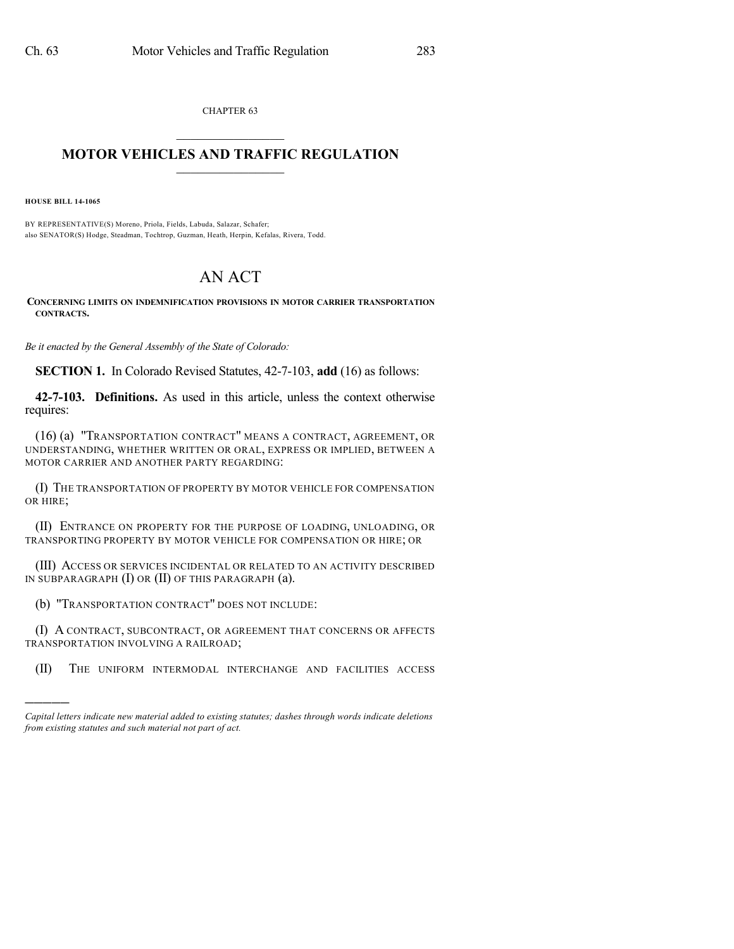CHAPTER 63  $\mathcal{L}_\text{max}$  . The set of the set of the set of the set of the set of the set of the set of the set of the set of the set of the set of the set of the set of the set of the set of the set of the set of the set of the set

## **MOTOR VEHICLES AND TRAFFIC REGULATION**  $\frac{1}{2}$  ,  $\frac{1}{2}$  ,  $\frac{1}{2}$  ,  $\frac{1}{2}$  ,  $\frac{1}{2}$  ,  $\frac{1}{2}$  ,  $\frac{1}{2}$

**HOUSE BILL 14-1065**

)))))

BY REPRESENTATIVE(S) Moreno, Priola, Fields, Labuda, Salazar, Schafer; also SENATOR(S) Hodge, Steadman, Tochtrop, Guzman, Heath, Herpin, Kefalas, Rivera, Todd.

## AN ACT

**CONCERNING LIMITS ON INDEMNIFICATION PROVISIONS IN MOTOR CARRIER TRANSPORTATION CONTRACTS.**

*Be it enacted by the General Assembly of the State of Colorado:*

**SECTION 1.** In Colorado Revised Statutes, 42-7-103, **add** (16) as follows:

**42-7-103. Definitions.** As used in this article, unless the context otherwise requires:

(16) (a) "TRANSPORTATION CONTRACT" MEANS A CONTRACT, AGREEMENT, OR UNDERSTANDING, WHETHER WRITTEN OR ORAL, EXPRESS OR IMPLIED, BETWEEN A MOTOR CARRIER AND ANOTHER PARTY REGARDING:

(I) THE TRANSPORTATION OF PROPERTY BY MOTOR VEHICLE FOR COMPENSATION OR HIRE;

(II) ENTRANCE ON PROPERTY FOR THE PURPOSE OF LOADING, UNLOADING, OR TRANSPORTING PROPERTY BY MOTOR VEHICLE FOR COMPENSATION OR HIRE; OR

(III) ACCESS OR SERVICES INCIDENTAL OR RELATED TO AN ACTIVITY DESCRIBED IN SUBPARAGRAPH (I) OR (II) OF THIS PARAGRAPH (a).

(b) "TRANSPORTATION CONTRACT" DOES NOT INCLUDE:

(I) A CONTRACT, SUBCONTRACT, OR AGREEMENT THAT CONCERNS OR AFFECTS TRANSPORTATION INVOLVING A RAILROAD;

(II) THE UNIFORM INTERMODAL INTERCHANGE AND FACILITIES ACCESS

*Capital letters indicate new material added to existing statutes; dashes through words indicate deletions from existing statutes and such material not part of act.*